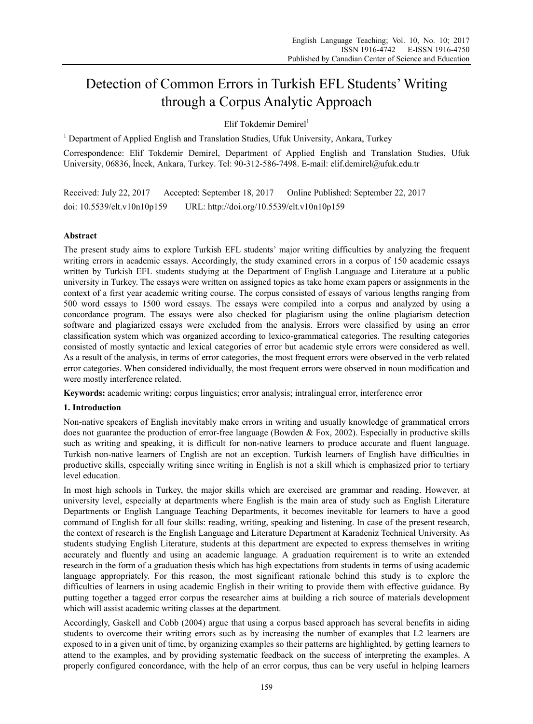# Detection of Common Errors in Turkish EFL Students' Writing through a Corpus Analytic Approach

Elif Tokdemir Demirel $1$ 

<sup>1</sup> Department of Applied English and Translation Studies, Ufuk University, Ankara, Turkey

Correspondence: Elif Tokdemir Demirel, Department of Applied English and Translation Studies, Ufuk University, 06836, İncek, Ankara, Turkey. Tel: 90-312-586-7498. E-mail: elif.demirel@ufuk.edu.tr

Received: July 22, 2017 Accepted: September 18, 2017 Online Published: September 22, 2017 doi: 10.5539/elt.v10n10p159 URL: http://doi.org/10.5539/elt.v10n10p159

# **Abstract**

The present study aims to explore Turkish EFL students' major writing difficulties by analyzing the frequent writing errors in academic essays. Accordingly, the study examined errors in a corpus of 150 academic essays written by Turkish EFL students studying at the Department of English Language and Literature at a public university in Turkey. The essays were written on assigned topics as take home exam papers or assignments in the context of a first year academic writing course. The corpus consisted of essays of various lengths ranging from 500 word essays to 1500 word essays. The essays were compiled into a corpus and analyzed by using a concordance program. The essays were also checked for plagiarism using the online plagiarism detection software and plagiarized essays were excluded from the analysis. Errors were classified by using an error classification system which was organized according to lexico-grammatical categories. The resulting categories consisted of mostly syntactic and lexical categories of error but academic style errors were considered as well. As a result of the analysis, in terms of error categories, the most frequent errors were observed in the verb related error categories. When considered individually, the most frequent errors were observed in noun modification and were mostly interference related.

**Keywords:** academic writing; corpus linguistics; error analysis; intralingual error, interference error

# **1. Introduction**

Non-native speakers of English inevitably make errors in writing and usually knowledge of grammatical errors does not guarantee the production of error-free language (Bowden & Fox, 2002). Especially in productive skills such as writing and speaking, it is difficult for non-native learners to produce accurate and fluent language. Turkish non-native learners of English are not an exception. Turkish learners of English have difficulties in productive skills, especially writing since writing in English is not a skill which is emphasized prior to tertiary level education.

In most high schools in Turkey, the major skills which are exercised are grammar and reading. However, at university level, especially at departments where English is the main area of study such as English Literature Departments or English Language Teaching Departments, it becomes inevitable for learners to have a good command of English for all four skills: reading, writing, speaking and listening. In case of the present research, the context of research is the English Language and Literature Department at Karadeniz Technical University. As students studying English Literature, students at this department are expected to express themselves in writing accurately and fluently and using an academic language. A graduation requirement is to write an extended research in the form of a graduation thesis which has high expectations from students in terms of using academic language appropriately. For this reason, the most significant rationale behind this study is to explore the difficulties of learners in using academic English in their writing to provide them with effective guidance. By putting together a tagged error corpus the researcher aims at building a rich source of materials development which will assist academic writing classes at the department.

Accordingly, Gaskell and Cobb (2004) argue that using a corpus based approach has several benefits in aiding students to overcome their writing errors such as by increasing the number of examples that L2 learners are exposed to in a given unit of time, by organizing examples so their patterns are highlighted, by getting learners to attend to the examples, and by providing systematic feedback on the success of interpreting the examples. A properly configured concordance, with the help of an error corpus, thus can be very useful in helping learners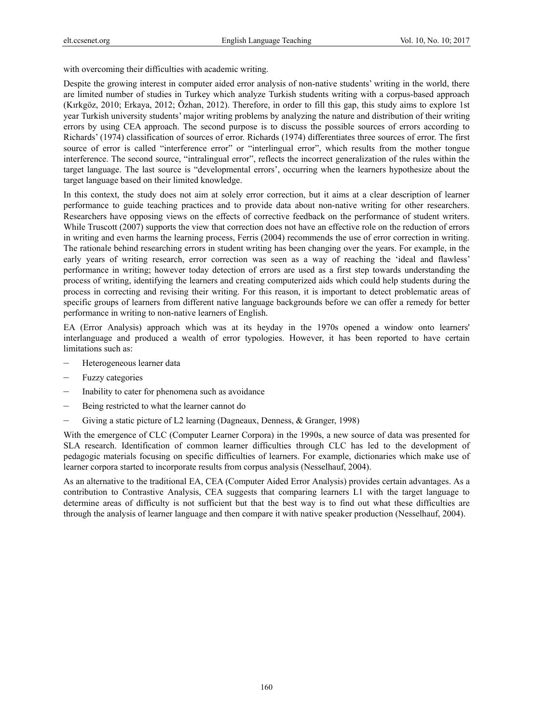with overcoming their difficulties with academic writing.

Despite the growing interest in computer aided error analysis of non-native students' writing in the world, there are limited number of studies in Turkey which analyze Turkish students writing with a corpus-based approach (Kırkgöz, 2010; Erkaya, 2012; Özhan, 2012). Therefore, in order to fill this gap, this study aims to explore 1st year Turkish university students' major writing problems by analyzing the nature and distribution of their writing errors by using CEA approach. The second purpose is to discuss the possible sources of errors according to Richards' (1974) classification of sources of error. Richards (1974) differentiates three sources of error. The first source of error is called "interference error" or "interlingual error", which results from the mother tongue interference. The second source, "intralingual error", reflects the incorrect generalization of the rules within the target language. The last source is "developmental errors', occurring when the learners hypothesize about the target language based on their limited knowledge.

In this context, the study does not aim at solely error correction, but it aims at a clear description of learner performance to guide teaching practices and to provide data about non-native writing for other researchers. Researchers have opposing views on the effects of corrective feedback on the performance of student writers. While Truscott (2007) supports the view that correction does not have an effective role on the reduction of errors in writing and even harms the learning process, Ferris (2004) recommends the use of error correction in writing. The rationale behind researching errors in student writing has been changing over the years. For example, in the early years of writing research, error correction was seen as a way of reaching the 'ideal and flawless' performance in writing; however today detection of errors are used as a first step towards understanding the process of writing, identifying the learners and creating computerized aids which could help students during the process in correcting and revising their writing. For this reason, it is important to detect problematic areas of specific groups of learners from different native language backgrounds before we can offer a remedy for better performance in writing to non-native learners of English.

EA (Error Analysis) approach which was at its heyday in the 1970s opened a window onto learners' interlanguage and produced a wealth of error typologies. However, it has been reported to have certain limitations such as:

- Heterogeneous learner data
- Fuzzy categories
- Inability to cater for phenomena such as avoidance
- Being restricted to what the learner cannot do
- Giving a static picture of L2 learning (Dagneaux, Denness, & Granger, 1998)

With the emergence of CLC (Computer Learner Corpora) in the 1990s, a new source of data was presented for SLA research. Identification of common learner difficulties through CLC has led to the development of pedagogic materials focusing on specific difficulties of learners. For example, dictionaries which make use of learner corpora started to incorporate results from corpus analysis (Nesselhauf, 2004).

As an alternative to the traditional EA, CEA (Computer Aided Error Analysis) provides certain advantages. As a contribution to Contrastive Analysis, CEA suggests that comparing learners L1 with the target language to determine areas of difficulty is not sufficient but that the best way is to find out what these difficulties are through the analysis of learner language and then compare it with native speaker production (Nesselhauf, 2004).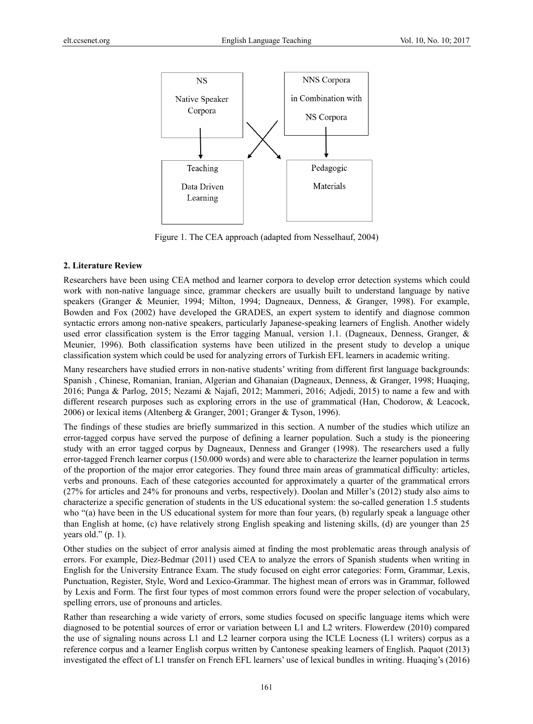

Figure 1. The CEA approach (adapted from Nesselhauf, 2004)

# **2. Literature Review**

Researchers have been using CEA method and learner corpora to develop error detection systems which could work with non-native language since, grammar checkers are usually built to understand language by native speakers (Granger & Meunier, 1994; Milton, 1994; Dagneaux, Denness, & Granger, 1998). For example, Bowden and Fox (2002) have developed the GRADES, an expert system to identify and diagnose common syntactic errors among non-native speakers, particularly Japanese-speaking learners of English. Another widely used error classification system is the Error tagging Manual, version 1.1. (Dagneaux, Denness, Granger, & Meunier, 1996). Both classification systems have been utilized in the present study to develop a unique classification system which could be used for analyzing errors of Turkish EFL learners in academic writing.

Many researchers have studied errors in non-native students' writing from different first language backgrounds: Spanish , Chinese, Romanian, Iranian, Algerian and Ghanaian (Dagneaux, Denness, & Granger, 1998; Huaqing, 2016; Punga & Parlog, 2015; Nezami & Najafi, 2012; Mammeri, 2016; Adjedi, 2015) to name a few and with different research purposes such as exploring errors in the use of grammatical (Han, Chodorow, & Leacock, 2006) or lexical items (Altenberg & Granger, 2001; Granger & Tyson, 1996).

The findings of these studies are briefly summarized in this section. A number of the studies which utilize an error-tagged corpus have served the purpose of defining a learner population. Such a study is the pioneering study with an error tagged corpus by Dagneaux, Denness and Granger (1998). The researchers used a fully error-tagged French learner corpus (150.000 words) and were able to characterize the learner population in terms of the proportion of the major error categories. They found three main areas of grammatical difficulty: articles, verbs and pronouns. Each of these categories accounted for approximately a quarter of the grammatical errors (27% for articles and 24% for pronouns and verbs, respectively). Doolan and Miller's (2012) study also aims to characterize a specific generation of students in the US educational system: the so-called generation 1.5 students who "(a) have been in the US educational system for more than four years, (b) regularly speak a language other than English at home, (c) have relatively strong English speaking and listening skills, (d) are younger than 25 years old." (p. 1).

Other studies on the subject of error analysis aimed at finding the most problematic areas through analysis of errors. For example, Diez-Bedmar (2011) used CEA to analyze the errors of Spanish students when writing in English for the University Entrance Exam. The study focused on eight error categories: Form, Grammar, Lexis, Punctuation, Register, Style, Word and Lexico-Grammar. The highest mean of errors was in Grammar, followed by Lexis and Form. The first four types of most common errors found were the proper selection of vocabulary, spelling errors, use of pronouns and articles.

Rather than researching a wide variety of errors, some studies focused on specific language items which were diagnosed to be potential sources of error or variation between L1 and L2 writers. Flowerdew (2010) compared the use of signaling nouns across L1 and L2 learner corpora using the ICLE Locness (L1 writers) corpus as a reference corpus and a learner English corpus written by Cantonese speaking learners of English. Paquot (2013) investigated the effect of L1 transfer on French EFL learners' use of lexical bundles in writing. Huaqing's (2016)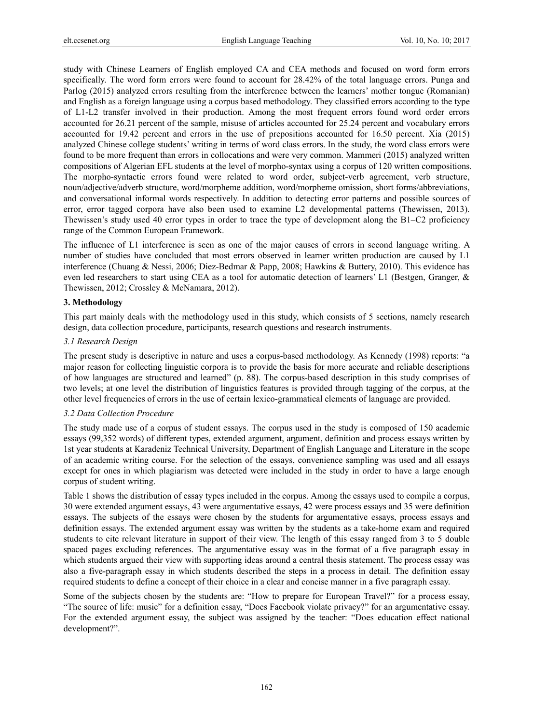study with Chinese Learners of English employed CA and CEA methods and focused on word form errors specifically. The word form errors were found to account for 28.42% of the total language errors. Punga and Parlog (2015) analyzed errors resulting from the interference between the learners' mother tongue (Romanian) and English as a foreign language using a corpus based methodology. They classified errors according to the type of L1-L2 transfer involved in their production. Among the most frequent errors found word order errors accounted for 26.21 percent of the sample, misuse of articles accounted for 25.24 percent and vocabulary errors accounted for 19.42 percent and errors in the use of prepositions accounted for 16.50 percent. Xia (2015) analyzed Chinese college students' writing in terms of word class errors. In the study, the word class errors were found to be more frequent than errors in collocations and were very common. Mammeri (2015) analyzed written compositions of Algerian EFL students at the level of morpho-syntax using a corpus of 120 written compositions. The morpho-syntactic errors found were related to word order, subject-verb agreement, verb structure, noun/adjective/adverb structure, word/morpheme addition, word/morpheme omission, short forms/abbreviations, and conversational informal words respectively. In addition to detecting error patterns and possible sources of error, error tagged corpora have also been used to examine L2 developmental patterns (Thewissen, 2013). Thewissen's study used 40 error types in order to trace the type of development along the B1–C2 proficiency range of the Common European Framework.

The influence of L1 interference is seen as one of the major causes of errors in second language writing. A number of studies have concluded that most errors observed in learner written production are caused by L1 interference (Chuang & Nessi, 2006; Diez-Bedmar & Papp, 2008; Hawkins & Buttery, 2010). This evidence has even led researchers to start using CEA as a tool for automatic detection of learners' L1 (Bestgen, Granger, & Thewissen, 2012; Crossley & McNamara, 2012).

# **3. Methodology**

This part mainly deals with the methodology used in this study, which consists of 5 sections, namely research design, data collection procedure, participants, research questions and research instruments.

# *3.1 Research Design*

The present study is descriptive in nature and uses a corpus-based methodology. As Kennedy (1998) reports: "a major reason for collecting linguistic corpora is to provide the basis for more accurate and reliable descriptions of how languages are structured and learned" (p. 88). The corpus-based description in this study comprises of two levels; at one level the distribution of linguistics features is provided through tagging of the corpus, at the other level frequencies of errors in the use of certain lexico-grammatical elements of language are provided.

# *3.2 Data Collection Procedure*

The study made use of a corpus of student essays. The corpus used in the study is composed of 150 academic essays (99,352 words) of different types, extended argument, argument, definition and process essays written by 1st year students at Karadeniz Technical University, Department of English Language and Literature in the scope of an academic writing course. For the selection of the essays, convenience sampling was used and all essays except for ones in which plagiarism was detected were included in the study in order to have a large enough corpus of student writing.

Table 1 shows the distribution of essay types included in the corpus. Among the essays used to compile a corpus, 30 were extended argument essays, 43 were argumentative essays, 42 were process essays and 35 were definition essays. The subjects of the essays were chosen by the students for argumentative essays, process essays and definition essays. The extended argument essay was written by the students as a take-home exam and required students to cite relevant literature in support of their view. The length of this essay ranged from 3 to 5 double spaced pages excluding references. The argumentative essay was in the format of a five paragraph essay in which students argued their view with supporting ideas around a central thesis statement. The process essay was also a five-paragraph essay in which students described the steps in a process in detail. The definition essay required students to define a concept of their choice in a clear and concise manner in a five paragraph essay.

Some of the subjects chosen by the students are: "How to prepare for European Travel?" for a process essay, "The source of life: music" for a definition essay, "Does Facebook violate privacy?" for an argumentative essay. For the extended argument essay, the subject was assigned by the teacher: "Does education effect national development?".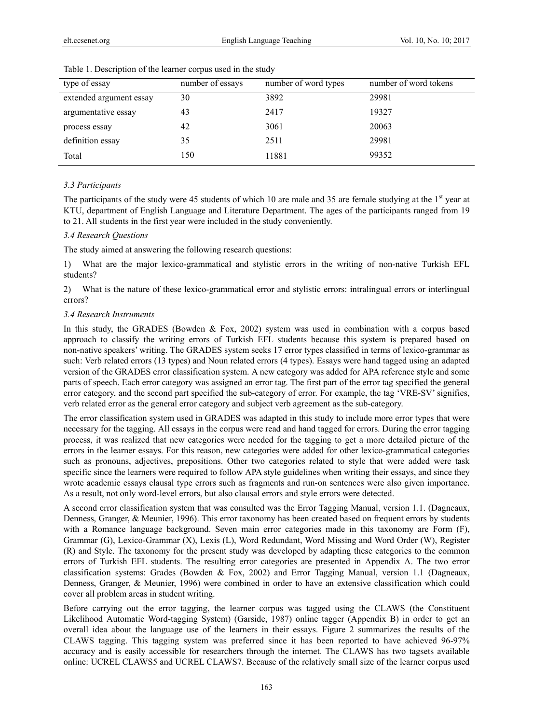| type of essay           | number of essays | number of word types | number of word tokens |
|-------------------------|------------------|----------------------|-----------------------|
| extended argument essay | 30               | 3892                 | 29981                 |
| argumentative essay     | 43               | 2417                 | 19327                 |
| process essay           | 42               | 3061                 | 20063                 |
| definition essay        | 35               | 2511                 | 29981                 |
| Total                   | 150              | 11881                | 99352                 |

Table 1. Description of the learner corpus used in the study

### *3.3 Participants*

The participants of the study were 45 students of which 10 are male and 35 are female studying at the  $1<sup>st</sup>$  year at KTU, department of English Language and Literature Department. The ages of the participants ranged from 19 to 21. All students in the first year were included in the study conveniently.

### *3.4 Research Questions*

The study aimed at answering the following research questions:

1) What are the major lexico-grammatical and stylistic errors in the writing of non-native Turkish EFL students?

2) What is the nature of these lexico-grammatical error and stylistic errors: intralingual errors or interlingual errors?

### *3.4 Research Instruments*

In this study, the GRADES (Bowden  $\&$  Fox, 2002) system was used in combination with a corpus based approach to classify the writing errors of Turkish EFL students because this system is prepared based on non-native speakers' writing. The GRADES system seeks 17 error types classified in terms of lexico-grammar as such: Verb related errors (13 types) and Noun related errors (4 types). Essays were hand tagged using an adapted version of the GRADES error classification system. A new category was added for APA reference style and some parts of speech. Each error category was assigned an error tag. The first part of the error tag specified the general error category, and the second part specified the sub-category of error. For example, the tag 'VRE-SV' signifies, verb related error as the general error category and subject verb agreement as the sub-category.

The error classification system used in GRADES was adapted in this study to include more error types that were necessary for the tagging. All essays in the corpus were read and hand tagged for errors. During the error tagging process, it was realized that new categories were needed for the tagging to get a more detailed picture of the errors in the learner essays. For this reason, new categories were added for other lexico-grammatical categories such as pronouns, adjectives, prepositions. Other two categories related to style that were added were task specific since the learners were required to follow APA style guidelines when writing their essays, and since they wrote academic essays clausal type errors such as fragments and run-on sentences were also given importance. As a result, not only word-level errors, but also clausal errors and style errors were detected.

A second error classification system that was consulted was the Error Tagging Manual, version 1.1. (Dagneaux, Denness, Granger, & Meunier, 1996). This error taxonomy has been created based on frequent errors by students with a Romance language background. Seven main error categories made in this taxonomy are Form (F), Grammar (G), Lexico-Grammar (X), Lexis (L), Word Redundant, Word Missing and Word Order (W), Register (R) and Style. The taxonomy for the present study was developed by adapting these categories to the common errors of Turkish EFL students. The resulting error categories are presented in Appendix A. The two error classification systems: Grades (Bowden & Fox, 2002) and Error Tagging Manual, version 1.1 (Dagneaux, Denness, Granger, & Meunier, 1996) were combined in order to have an extensive classification which could cover all problem areas in student writing.

Before carrying out the error tagging, the learner corpus was tagged using the CLAWS (the Constituent Likelihood Automatic Word-tagging System) (Garside, 1987) online tagger (Appendix B) in order to get an overall idea about the language use of the learners in their essays. Figure 2 summarizes the results of the CLAWS tagging. This tagging system was preferred since it has been reported to have achieved 96-97% accuracy and is easily accessible for researchers through the internet. The CLAWS has two tagsets available online: UCREL CLAWS5 and UCREL CLAWS7. Because of the relatively small size of the learner corpus used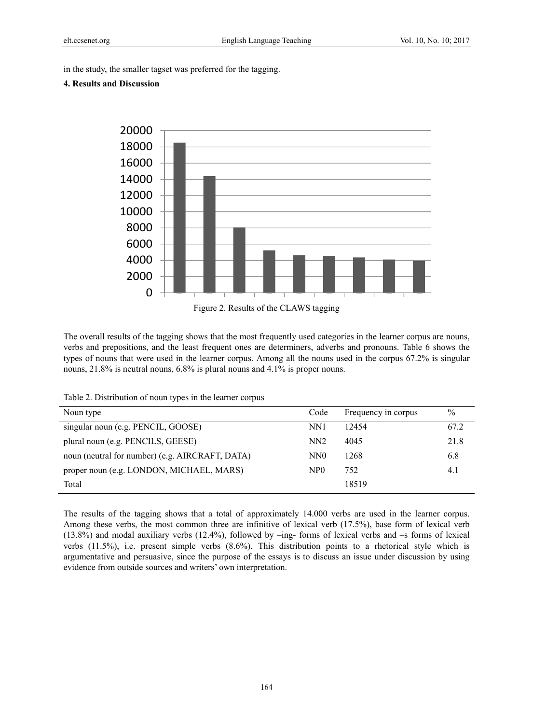in the study, the smaller tagset was preferred for the tagging.

# **4. Results and Discussion**



Figure 2. Results of the CLAWS tagging

The overall results of the tagging shows that the most frequently used categories in the learner corpus are nouns, verbs and prepositions, and the least frequent ones are determiners, adverbs and pronouns. Table 6 shows the types of nouns that were used in the learner corpus. Among all the nouns used in the corpus 67.2% is singular nouns, 21.8% is neutral nouns, 6.8% is plural nouns and 4.1% is proper nouns.

Table 2. Distribution of noun types in the learner corpus

| Noun type                                       | Code            | Frequency in corpus | $\frac{0}{0}$ |
|-------------------------------------------------|-----------------|---------------------|---------------|
| singular noun (e.g. PENCIL, GOOSE)              | NN1             | 12454               | 67.2          |
| plural noun (e.g. PENCILS, GEESE)               | NN <sub>2</sub> | 4045                | 21.8          |
| noun (neutral for number) (e.g. AIRCRAFT, DATA) | NN <sub>0</sub> | 1268                | 6.8           |
| proper noun (e.g. LONDON, MICHAEL, MARS)        | NP <sub>0</sub> | 752                 | 4.1           |
| Total                                           |                 | 18519               |               |

The results of the tagging shows that a total of approximately 14.000 verbs are used in the learner corpus. Among these verbs, the most common three are infinitive of lexical verb (17.5%), base form of lexical verb (13.8%) and modal auxiliary verbs (12.4%), followed by –ing- forms of lexical verbs and –s forms of lexical verbs (11.5%), i.e. present simple verbs (8.6%). This distribution points to a rhetorical style which is argumentative and persuasive, since the purpose of the essays is to discuss an issue under discussion by using evidence from outside sources and writers' own interpretation.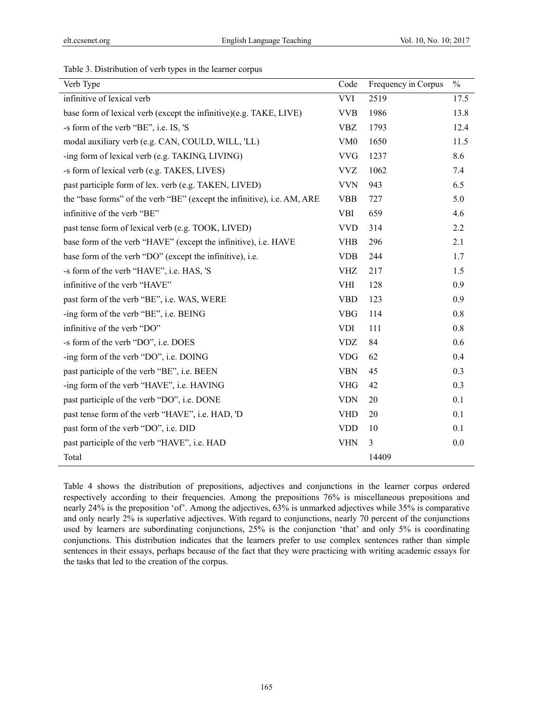L

| Verb Type                                                               | Code            | Frequency in Corpus | $\frac{0}{0}$ |
|-------------------------------------------------------------------------|-----------------|---------------------|---------------|
| infinitive of lexical verb                                              | <b>VVI</b>      | 2519                | 17.5          |
| base form of lexical verb (except the infinitive)(e.g. TAKE, LIVE)      | <b>VVB</b>      | 1986                | 13.8          |
| -s form of the verb "BE", i.e. IS, 'S                                   | <b>VBZ</b>      | 1793                | 12.4          |
| modal auxiliary verb (e.g. CAN, COULD, WILL, 'LL)                       | VM <sub>0</sub> | 1650                | 11.5          |
| -ing form of lexical verb (e.g. TAKING, LIVING)                         | <b>VVG</b>      | 1237                | 8.6           |
| -s form of lexical verb (e.g. TAKES, LIVES)                             | <b>VVZ</b>      | 1062                | 7.4           |
| past participle form of lex. verb (e.g. TAKEN, LIVED)                   | <b>VVN</b>      | 943                 | 6.5           |
| the "base forms" of the verb "BE" (except the infinitive), i.e. AM, ARE | <b>VBB</b>      | 727                 | 5.0           |
| infinitive of the verb "BE"                                             | <b>VBI</b>      | 659                 | 4.6           |
| past tense form of lexical verb (e.g. TOOK, LIVED)                      | <b>VVD</b>      | 314                 | 2.2           |
| base form of the verb "HAVE" (except the infinitive), i.e. HAVE         | <b>VHB</b>      | 296                 | 2.1           |
| base form of the verb "DO" (except the infinitive), i.e.                | <b>VDB</b>      | 244                 | 1.7           |
| -s form of the verb "HAVE", i.e. HAS, 'S                                | <b>VHZ</b>      | 217                 | 1.5           |
| infinitive of the verb "HAVE"                                           | <b>VHI</b>      | 128                 | 0.9           |
| past form of the verb "BE", i.e. WAS, WERE                              | <b>VBD</b>      | 123                 | 0.9           |
| -ing form of the verb "BE", i.e. BEING                                  | <b>VBG</b>      | 114                 | 0.8           |
| infinitive of the verb "DO"                                             | <b>VDI</b>      | 111                 | 0.8           |
| -s form of the verb "DO", i.e. DOES                                     | <b>VDZ</b>      | 84                  | 0.6           |
| -ing form of the verb "DO", i.e. DOING                                  | <b>VDG</b>      | 62                  | 0.4           |
| past participle of the verb "BE", i.e. BEEN                             | <b>VBN</b>      | 45                  | 0.3           |
| -ing form of the verb "HAVE", i.e. HAVING                               | <b>VHG</b>      | 42                  | 0.3           |
| past participle of the verb "DO", i.e. DONE                             | <b>VDN</b>      | 20                  | 0.1           |
| past tense form of the verb "HAVE", i.e. HAD, 'D                        | <b>VHD</b>      | 20                  | 0.1           |
| past form of the verb "DO", i.e. DID                                    | <b>VDD</b>      | 10                  | 0.1           |
| past participle of the verb "HAVE", i.e. HAD                            | <b>VHN</b>      | 3                   | 0.0           |
| Total                                                                   |                 | 14409               |               |
|                                                                         |                 |                     |               |

Table 3. Distribution of verb types in the learner corpus

Table 4 shows the distribution of prepositions, adjectives and conjunctions in the learner corpus ordered respectively according to their frequencies. Among the prepositions 76% is miscellaneous prepositions and nearly 24% is the preposition 'of'. Among the adjectives, 63% is unmarked adjectives while 35% is comparative and only nearly 2% is superlative adjectives. With regard to conjunctions, nearly 70 percent of the conjunctions used by learners are subordinating conjunctions, 25% is the conjunction 'that' and only 5% is coordinating conjunctions. This distribution indicates that the learners prefer to use complex sentences rather than simple sentences in their essays, perhaps because of the fact that they were practicing with writing academic essays for the tasks that led to the creation of the corpus.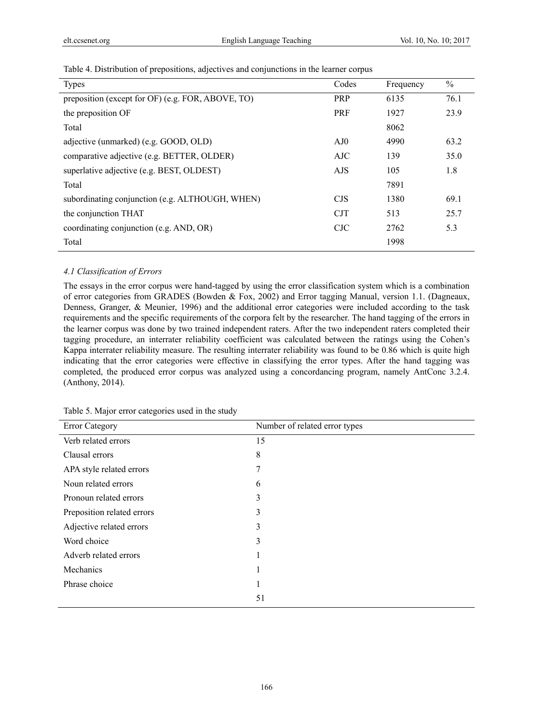| <b>Types</b>                                      | Codes        | Frequency | $\frac{0}{0}$ |
|---------------------------------------------------|--------------|-----------|---------------|
| preposition (except for OF) (e.g. FOR, ABOVE, TO) | <b>PRP</b>   | 6135      | 76.1          |
| the preposition OF                                | PRF          | 1927      | 23.9          |
| Total                                             |              | 8062      |               |
| adjective (unmarked) (e.g. GOOD, OLD)             | AJ0          | 4990      | 63.2          |
| comparative adjective (e.g. BETTER, OLDER)        | AJC          | 139       | 35.0          |
| superlative adjective (e.g. BEST, OLDEST)         | <b>AJS</b>   | 105       | 1.8           |
| Total                                             |              | 7891      |               |
| subordinating conjunction (e.g. ALTHOUGH, WHEN)   | <b>CJS</b>   | 1380      | 69.1          |
| the conjunction THAT                              | <b>CJT</b>   | 513       | 25.7          |
| coordinating conjunction (e.g. AND, OR)           | $C_{\rm LC}$ | 2762      | 5.3           |
| Total                                             |              | 1998      |               |

# Table 4. Distribution of prepositions, adjectives and conjunctions in the learner corpus

# *4.1 Classification of Errors*

The essays in the error corpus were hand-tagged by using the error classification system which is a combination of error categories from GRADES (Bowden & Fox, 2002) and Error tagging Manual, version 1.1. (Dagneaux, Denness, Granger, & Meunier, 1996) and the additional error categories were included according to the task requirements and the specific requirements of the corpora felt by the researcher. The hand tagging of the errors in the learner corpus was done by two trained independent raters. After the two independent raters completed their tagging procedure, an interrater reliability coefficient was calculated between the ratings using the Cohen's Kappa interrater reliability measure. The resulting interrater reliability was found to be 0.86 which is quite high indicating that the error categories were effective in classifying the error types. After the hand tagging was completed, the produced error corpus was analyzed using a concordancing program, namely AntConc 3.2.4. (Anthony, 2014).

| <b>Error Category</b>      | Number of related error types |
|----------------------------|-------------------------------|
| Verb related errors        | 15                            |
| Clausal errors             | 8                             |
| APA style related errors   | 7                             |
| Noun related errors        | 6                             |
| Pronoun related errors     | 3                             |
| Preposition related errors | 3                             |
| Adjective related errors   | 3                             |
| Word choice                | 3                             |
| Adverb related errors      |                               |
| Mechanics                  |                               |
| Phrase choice              |                               |
|                            | 51                            |

Table 5. Major error categories used in the study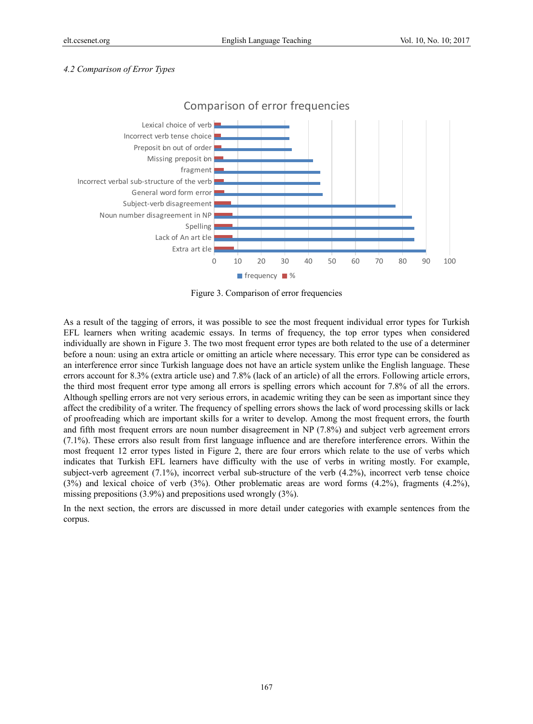# *4.2 Comparison of Error Types*



Comparison of error frequencies

Figure 3. Comparison of error frequencies

As a result of the tagging of errors, it was possible to see the most frequent individual error types for Turkish EFL learners when writing academic essays. In terms of frequency, the top error types when considered individually are shown in Figure 3. The two most frequent error types are both related to the use of a determiner before a noun: using an extra article or omitting an article where necessary. This error type can be considered as an interference error since Turkish language does not have an article system unlike the English language. These errors account for 8.3% (extra article use) and 7.8% (lack of an article) of all the errors. Following article errors, the third most frequent error type among all errors is spelling errors which account for 7.8% of all the errors. Although spelling errors are not very serious errors, in academic writing they can be seen as important since they affect the credibility of a writer. The frequency of spelling errors shows the lack of word processing skills or lack of proofreading which are important skills for a writer to develop. Among the most frequent errors, the fourth and fifth most frequent errors are noun number disagreement in NP (7.8%) and subject verb agreement errors (7.1%). These errors also result from first language influence and are therefore interference errors. Within the most frequent 12 error types listed in Figure 2, there are four errors which relate to the use of verbs which indicates that Turkish EFL learners have difficulty with the use of verbs in writing mostly. For example, subject-verb agreement (7.1%), incorrect verbal sub-structure of the verb (4.2%), incorrect verb tense choice (3%) and lexical choice of verb (3%). Other problematic areas are word forms (4.2%), fragments (4.2%), missing prepositions (3.9%) and prepositions used wrongly (3%).

In the next section, the errors are discussed in more detail under categories with example sentences from the corpus.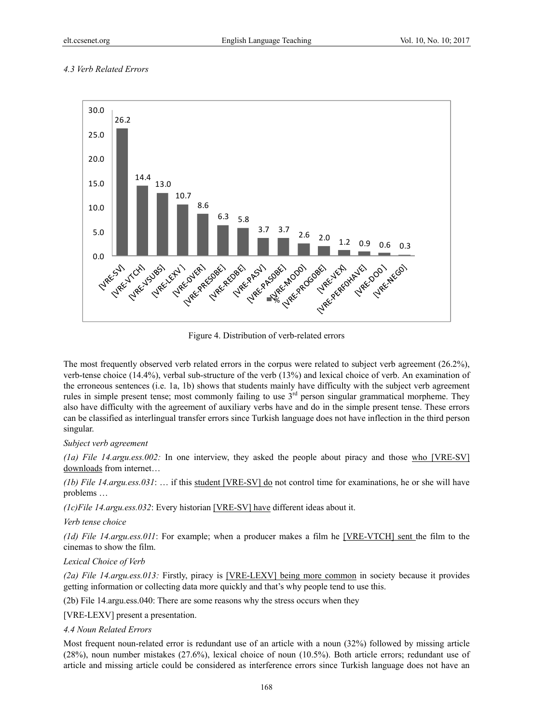#### *4.3 Verb Related Errors*



Figure 4. Distribution of verb-related errors

The most frequently observed verb related errors in the corpus were related to subject verb agreement (26.2%), verb-tense choice (14.4%), verbal sub-structure of the verb (13%) and lexical choice of verb. An examination of the erroneous sentences (i.e. 1a, 1b) shows that students mainly have difficulty with the subject verb agreement rules in simple present tense; most commonly failing to use  $3<sup>rd</sup>$  person singular grammatical morpheme. They also have difficulty with the agreement of auxiliary verbs have and do in the simple present tense. These errors can be classified as interlingual transfer errors since Turkish language does not have inflection in the third person singular.

#### *Subject verb agreement*

*(1a) File 14.argu.ess.002:* In one interview, they asked the people about piracy and those who [VRE-SV] downloads from internet…

*(1b) File 14.argu.ess.031*: … if this student [VRE-SV] do not control time for examinations, he or she will have problems …

*(1c)File 14.argu.ess.032*: Every historian [VRE-SV] have different ideas about it.

### *Verb tense choice*

*(1d) File 14.argu.ess.011*: For example; when a producer makes a film he [VRE-VTCH] sent the film to the cinemas to show the film.

### *Lexical Choice of Verb*

*(2a) File 14.argu.ess.013:* Firstly, piracy is [VRE-LEXV] being more common in society because it provides getting information or collecting data more quickly and that's why people tend to use this.

(2b) File 14.argu.ess.040: There are some reasons why the stress occurs when they

[VRE-LEXV] present a presentation.

#### *4.4 Noun Related Errors*

Most frequent noun-related error is redundant use of an article with a noun (32%) followed by missing article (28%), noun number mistakes (27.6%), lexical choice of noun (10.5%). Both article errors; redundant use of article and missing article could be considered as interference errors since Turkish language does not have an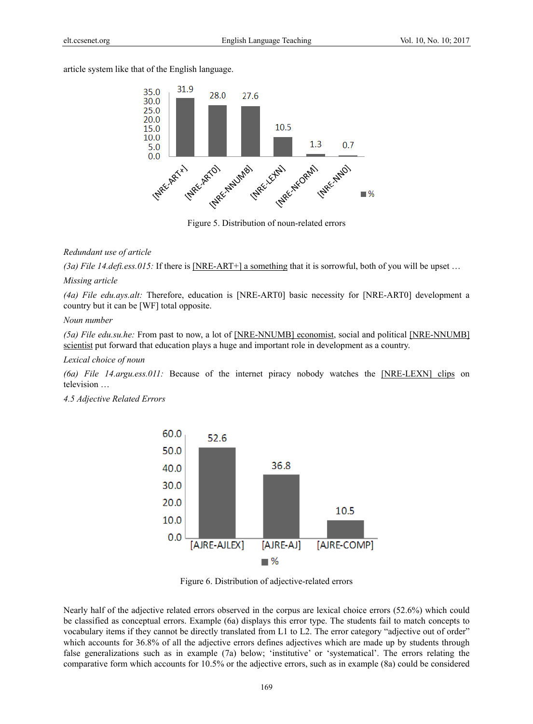article system like that of the English language.



Figure 5. Distribution of noun-related errors

#### *Redundant use of article*

*(3a) File 14.defi.ess.015:* If there is [NRE-ART+] a something that it is sorrowful, both of you will be upset …

### *Missing article*

*(4a) File edu.ays.alt:* Therefore, education is [NRE-ART0] basic necessity for [NRE-ART0] development a country but it can be [WF] total opposite.

#### *Noun number*

*(5a) File edu.su.he:* From past to now, a lot of [NRE-NNUMB] economist, social and political [NRE-NNUMB] scientist put forward that education plays a huge and important role in development as a country.

### *Lexical choice of noun*

*(6a) File 14.argu.ess.011:* Because of the internet piracy nobody watches the [NRE-LEXN] clips on television …

*4.5 Adjective Related Errors* 



Figure 6. Distribution of adjective-related errors

Nearly half of the adjective related errors observed in the corpus are lexical choice errors (52.6%) which could be classified as conceptual errors. Example (6a) displays this error type. The students fail to match concepts to vocabulary items if they cannot be directly translated from L1 to L2. The error category "adjective out of order" which accounts for 36.8% of all the adjective errors defines adjectives which are made up by students through false generalizations such as in example (7a) below; 'institutive' or 'systematical'. The errors relating the comparative form which accounts for 10.5% or the adjective errors, such as in example (8a) could be considered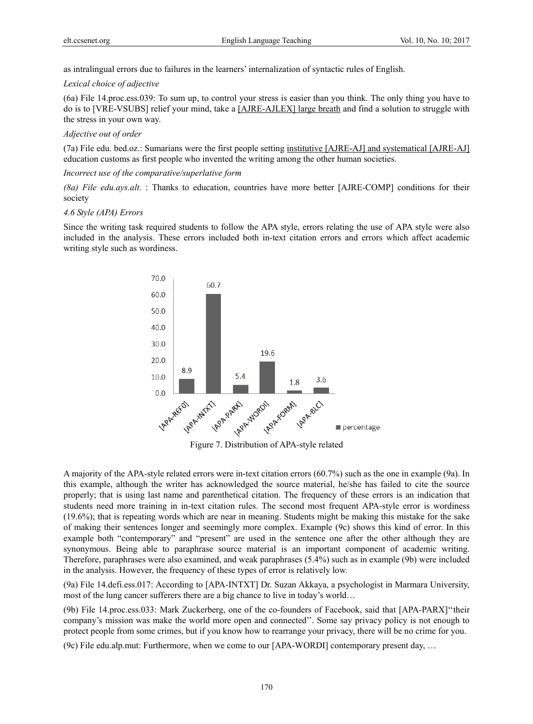as intralingual errors due to failures in the learners' internalization of syntactic rules of English.

# *Lexical choice of adjective*

(6a) File 14.proc.ess.039: To sum up, to control your stress is easier than you think. The only thing you have to do is to [VRE-VSUBS] relief your mind, take a [AJRE-AJLEX] large breath and find a solution to struggle with the stress in your own way.

# *Adjective out of order*

(7a) File edu. bed.oz.: Sumarians were the first people setting institutive [AJRE-AJ] and systematical [AJRE-AJ] education customs as first people who invented the writing among the other human societies.

# *Incorrect use of the comparative/superlative form*

*(8a) File edu.ays.alt.* : Thanks to education, countries have more better [AJRE-COMP] conditions for their society

# *4.6 Style (APA) Errors*

Since the writing task required students to follow the APA style, errors relating the use of APA style were also included in the analysis. These errors included both in-text citation errors and errors which affect academic writing style such as wordiness.



A majority of the APA-style related errors were in-text citation errors (60.7%) such as the one in example (9a). In this example, although the writer has acknowledged the source material, he/she has failed to cite the source properly; that is using last name and parenthetical citation. The frequency of these errors is an indication that students need more training in in-text citation rules. The second most frequent APA-style error is wordiness (19.6%); that is repeating words which are near in meaning. Students might be making this mistake for the sake of making their sentences longer and seemingly more complex. Example (9c) shows this kind of error. In this example both "contemporary" and "present" are used in the sentence one after the other although they are synonymous. Being able to paraphrase source material is an important component of academic writing. Therefore, paraphrases were also examined, and weak paraphrases (5.4%) such as in example (9b) were included in the analysis. However, the frequency of these types of error is relatively low.

(9a) File 14.defi.ess.017: According to [APA-INTXT] Dr. Suzan Akkaya, a psychologist in Marmara University, most of the lung cancer sufferers there are a big chance to live in today's world…

(9b) File 14.proc.ess.033: Mark Zuckerberg, one of the co-founders of Facebook, said that [APA-PARX]''their company's mission was make the world more open and connected''. Some say privacy policy is not enough to protect people from some crimes, but if you know how to rearrange your privacy, there will be no crime for you.

(9c) File edu.alp.mut: Furthermore, when we come to our [APA-WORDI] contemporary present day, …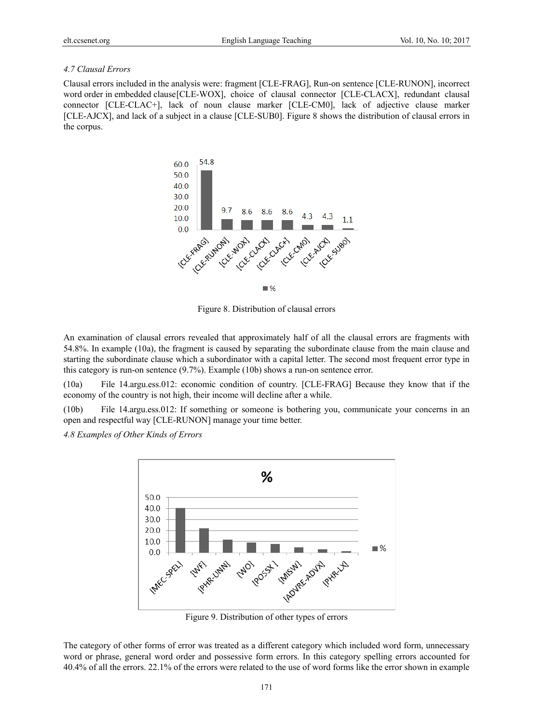### *4.7 Clausal Errors*

Clausal errors included in the analysis were: fragment [CLE-FRAG], Run-on sentence [CLE-RUNON], incorrect word order in embedded clause [CLE-WOX], choice of clausal connector [CLE-CLACX], redundant clausal connector [CLE-CLAC+], lack of noun clause marker [CLE-CM0], lack of adjective clause marker [CLE-AJCX], and lack of a subject in a clause [CLE-SUB0]. Figure 8 shows the distribution of clausal errors in the corpus.



Figure 8. Distribution of clausal errors

An examination of clausal errors revealed that approximately half of all the clausal errors are fragments with 54.8%. In example (10a), the fragment is caused by separating the subordinate clause from the main clause and starting the subordinate clause which a subordinator with a capital letter. The second most frequent error type in this category is run-on sentence (9.7%). Example (10b) shows a run-on sentence error.

(10a) File 14.argu.ess.012: economic condition of country. [CLE-FRAG] Because they know that if the economy of the country is not high, their income will decline after a while.

(10b) File 14.argu.ess.012: If something or someone is bothering you, communicate your concerns in an open and respectful way [CLE-RUNON] manage your time better.

*4.8 Examples of Other Kinds of Errors* 



Figure 9. Distribution of other types of errors

The category of other forms of error was treated as a different category which included word form, unnecessary word or phrase, general word order and possessive form errors. In this category spelling errors accounted for 40.4% of all the errors. 22.1% of the errors were related to the use of word forms like the error shown in example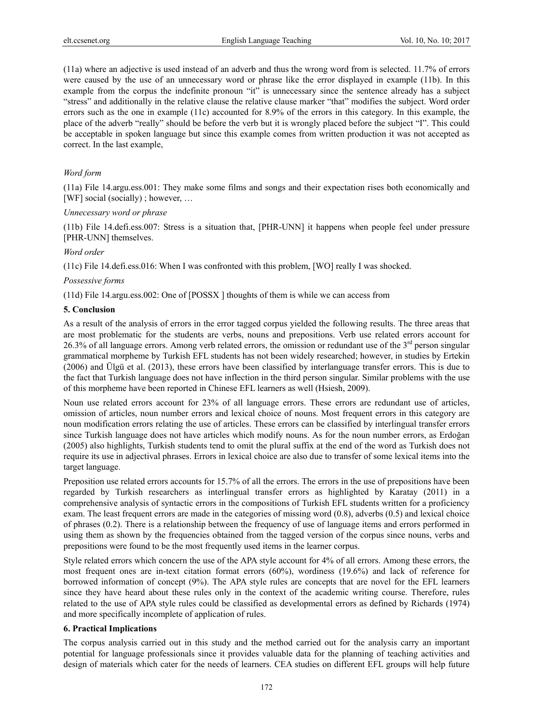(11a) where an adjective is used instead of an adverb and thus the wrong word from is selected. 11.7% of errors were caused by the use of an unnecessary word or phrase like the error displayed in example (11b). In this example from the corpus the indefinite pronoun "it" is unnecessary since the sentence already has a subject "stress" and additionally in the relative clause the relative clause marker "that" modifies the subject. Word order errors such as the one in example (11c) accounted for 8.9% of the errors in this category. In this example, the place of the adverb "really" should be before the verb but it is wrongly placed before the subject "I". This could be acceptable in spoken language but since this example comes from written production it was not accepted as correct. In the last example,

# *Word form*

(11a) File 14.argu.ess.001: They make some films and songs and their expectation rises both economically and [WF] social (socially) ; however, ...

# *Unnecessary word or phrase*

(11b) File 14.defi.ess.007: Stress is a situation that, [PHR-UNN] it happens when people feel under pressure [PHR-UNN] themselves.

### *Word order*

(11c) File 14.defi.ess.016: When I was confronted with this problem, [WO] really I was shocked.

### *Possessive forms*

(11d) File 14.argu.ess.002: One of [POSSX ] thoughts of them is while we can access from

### **5. Conclusion**

As a result of the analysis of errors in the error tagged corpus yielded the following results. The three areas that are most problematic for the students are verbs, nouns and prepositions. Verb use related errors account for 26.3% of all language errors. Among verb related errors, the omission or redundant use of the  $3<sup>rd</sup>$  person singular grammatical morpheme by Turkish EFL students has not been widely researched; however, in studies by Ertekin (2006) and Ülgü et al. (2013), these errors have been classified by interlanguage transfer errors. This is due to the fact that Turkish language does not have inflection in the third person singular. Similar problems with the use of this morpheme have been reported in Chinese EFL learners as well (Hsiesh, 2009).

Noun use related errors account for 23% of all language errors. These errors are redundant use of articles, omission of articles, noun number errors and lexical choice of nouns. Most frequent errors in this category are noun modification errors relating the use of articles. These errors can be classified by interlingual transfer errors since Turkish language does not have articles which modify nouns. As for the noun number errors, as Erdoğan (2005) also highlights, Turkish students tend to omit the plural suffix at the end of the word as Turkish does not require its use in adjectival phrases. Errors in lexical choice are also due to transfer of some lexical items into the target language.

Preposition use related errors accounts for 15.7% of all the errors. The errors in the use of prepositions have been regarded by Turkish researchers as interlingual transfer errors as highlighted by Karatay (2011) in a comprehensive analysis of syntactic errors in the compositions of Turkish EFL students written for a proficiency exam. The least frequent errors are made in the categories of missing word (0.8), adverbs (0.5) and lexical choice of phrases (0.2). There is a relationship between the frequency of use of language items and errors performed in using them as shown by the frequencies obtained from the tagged version of the corpus since nouns, verbs and prepositions were found to be the most frequently used items in the learner corpus.

Style related errors which concern the use of the APA style account for 4% of all errors. Among these errors, the most frequent ones are in-text citation format errors (60%), wordiness (19.6%) and lack of reference for borrowed information of concept (9%). The APA style rules are concepts that are novel for the EFL learners since they have heard about these rules only in the context of the academic writing course. Therefore, rules related to the use of APA style rules could be classified as developmental errors as defined by Richards (1974) and more specifically incomplete of application of rules.

### **6. Practical Implications**

The corpus analysis carried out in this study and the method carried out for the analysis carry an important potential for language professionals since it provides valuable data for the planning of teaching activities and design of materials which cater for the needs of learners. CEA studies on different EFL groups will help future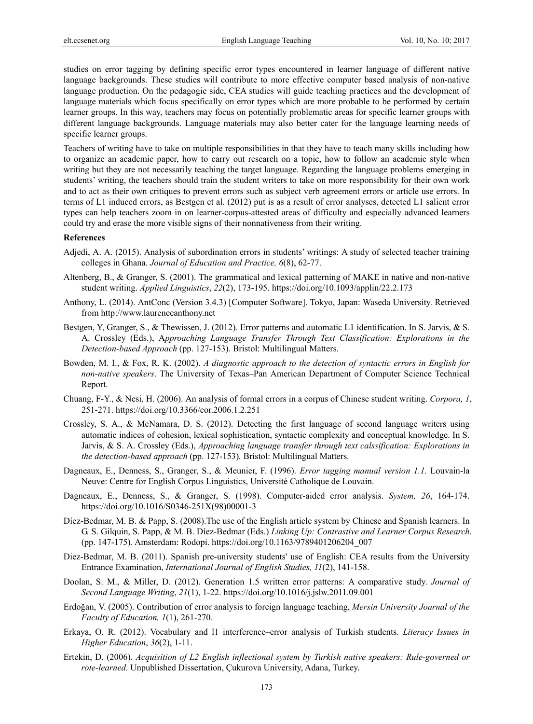studies on error tagging by defining specific error types encountered in learner language of different native language backgrounds. These studies will contribute to more effective computer based analysis of non-native language production. On the pedagogic side, CEA studies will guide teaching practices and the development of language materials which focus specifically on error types which are more probable to be performed by certain learner groups. In this way, teachers may focus on potentially problematic areas for specific learner groups with different language backgrounds. Language materials may also better cater for the language learning needs of specific learner groups.

Teachers of writing have to take on multiple responsibilities in that they have to teach many skills including how to organize an academic paper, how to carry out research on a topic, how to follow an academic style when writing but they are not necessarily teaching the target language. Regarding the language problems emerging in students' writing, the teachers should train the student writers to take on more responsibility for their own work and to act as their own critiques to prevent errors such as subject verb agreement errors or article use errors. In terms of L1 induced errors, as Bestgen et al. (2012) put is as a result of error analyses, detected L1 salient error types can help teachers zoom in on learner-corpus-attested areas of difficulty and especially advanced learners could try and erase the more visible signs of their nonnativeness from their writing.

### **References**

- Adjedi, A. A. (2015). Analysis of subordination errors in students' writings: A study of selected teacher training colleges in Ghana. *Journal of Education and Practice, 6*(8), 62-77.
- Altenberg, B., & Granger, S. (2001). The grammatical and lexical patterning of MAKE in native and non-native student writing. *Applied Linguistics*, *22*(2), 173-195. https://doi.org/10.1093/applin/22.2.173
- Anthony, L. (2014). AntConc (Version 3.4.3) [Computer Software]. Tokyo, Japan: Waseda University. Retrieved from http://www.laurenceanthony.net
- Bestgen, Y, Granger, S., & Thewissen, J. (2012). Error patterns and automatic L1 identification. In S. Jarvis, & S. A. Crossley (Eds.), A*pproaching Language Transfer Through Text Classification: Explorations in the Detection-based Approach* (pp. 127-153). Bristol: Multilingual Matters.
- Bowden, M. I., & Fox, R. K. (2002). *A diagnostic approach to the detection of syntactic errors in English for non-native speakers*. The University of Texas–Pan American Department of Computer Science Technical Report.
- Chuang, F-Y., & Nesi, H. (2006). An analysis of formal errors in a corpus of Chinese student writing. *Corpora, 1*, 251-271. https://doi.org/10.3366/cor.2006.1.2.251
- Crossley, S. A., & McNamara, D. S. (2012). Detecting the first language of second language writers using automatic indices of cohesion, lexical sophistication, syntactic complexity and conceptual knowledge. In S. Jarvis, & S. A. Crossley (Eds.), *Approaching language transfer through text calssification: Explorations in the detection-based approach* (pp. 127-153)*.* Bristol: Multilingual Matters.
- Dagneaux, E., Denness, S., Granger, S., & Meunier, F. (1996). *Error tagging manual version 1.1.* Louvain-la Neuve: Centre for English Corpus Linguistics, Université Catholique de Louvain.
- Dagneaux, E., Denness, S., & Granger, S. (1998). Computer-aided error analysis. *System, 26*, 164-174. https://doi.org/10.1016/S0346-251X(98)00001-3
- Díez-Bedmar, M. B. & Papp, S. (2008). The use of the English article system by Chinese and Spanish learners. In G. S. Gilquin, S. Papp, & M. B. Díez-Bedmar (Eds.) *Linking Up: Contrastive and Learner Corpus Research*. (pp. 147-175). Amsterdam: Rodopi. https://doi.org/10.1163/9789401206204\_007
- Diez-Bedmar, M. B. (2011). Spanish pre-university students' use of English: CEA results from the University Entrance Examination, *International Journal of English Studies, 11*(2), 141-158.
- Doolan, S. M., & Miller, D. (2012). Generation 1.5 written error patterns: A comparative study. *Journal of Second Language Writing*, *21*(1), 1-22. https://doi.org/10.1016/j.jslw.2011.09.001
- Erdoğan, V. (2005). Contribution of error analysis to foreign language teaching, *Mersin University Journal of the Faculty of Education, 1*(1), 261-270.
- Erkaya, O. R. (2012). Vocabulary and l1 interference–error analysis of Turkish students. *Literacy Issues in Higher Education*, *36*(2), 1-11.
- Ertekin, D. (2006). *Acquisition of L2 English inflectional system by Turkish native speakers: Rule-governed or rote-learned*. Unpublished Dissertation, Çukurova University, Adana, Turkey.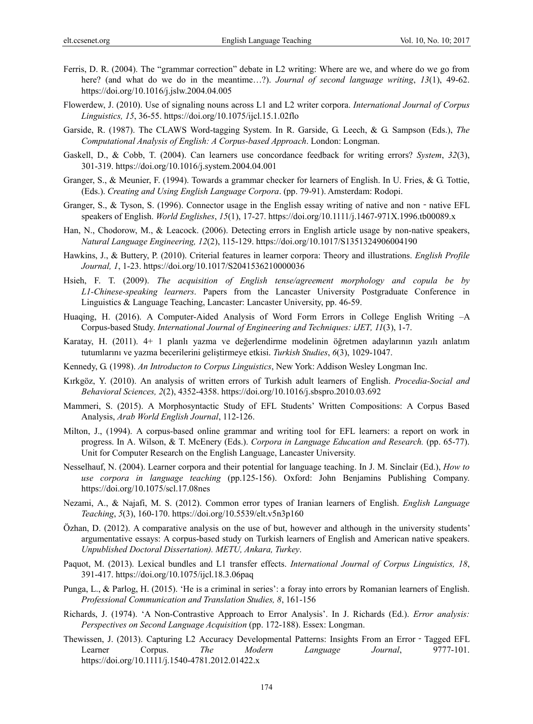- Ferris, D. R. (2004). The "grammar correction" debate in L2 writing: Where are we, and where do we go from here? (and what do we do in the meantime…?). *Journal of second language writing*, *13*(1), 49-62. https://doi.org/10.1016/j.jslw.2004.04.005
- Flowerdew, J. (2010). Use of signaling nouns across L1 and L2 writer corpora. *International Journal of Corpus Linguistics, 15*, 36-55. https://doi.org/10.1075/ijcl.15.1.02flo
- Garside, R. (1987). The CLAWS Word-tagging System. In R. Garside, G. Leech, & G. Sampson (Eds.), *The Computational Analysis of English: A Corpus-based Approach*. London: Longman.
- Gaskell, D., & Cobb, T. (2004). Can learners use concordance feedback for writing errors? *System*, *32*(3), 301-319. https://doi.org/10.1016/j.system.2004.04.001
- Granger, S., & Meunier, F. (1994). Towards a grammar checker for learners of English. In U. Fries, & G. Tottie, (Eds.). *Creating and Using English Language Corpora*. (pp. 79-91). Amsterdam: Rodopi.
- Granger, S., & Tyson, S. (1996). Connector usage in the English essay writing of native and non-native EFL speakers of English. *World Englishes*, *15*(1), 17-27. https://doi.org/10.1111/j.1467-971X.1996.tb00089.x
- Han, N., Chodorow, M., & Leacock. (2006). Detecting errors in English article usage by non-native speakers, *Natural Language Engineering, 12*(2), 115-129. https://doi.org/10.1017/S1351324906004190
- Hawkins, J., & Buttery, P. (2010). Criterial features in learner corpora: Theory and illustrations. *English Profile Journal, 1*, 1-23. https://doi.org/10.1017/S2041536210000036
- Hsieh, F. T. (2009). *The acquisition of English tense/agreement morphology and copula be by L1-Chinese-speaking learners*. Papers from the Lancaster University Postgraduate Conference in Linguistics & Language Teaching, Lancaster: Lancaster University, pp. 46-59.
- Huaqing, H. (2016). A Computer-Aided Analysis of Word Form Errors in College English Writing –A Corpus-based Study. *International Journal of Engineering and Techniques: iJET, 11*(3), 1-7.
- Karatay, H. (2011). 4+ 1 planlı yazma ve değerlendirme modelinin öğretmen adaylarının yazılı anlatım tutumlarını ve yazma becerilerini geliştirmeye etkisi. *Turkish Studies*, *6*(3), 1029-1047.
- Kennedy, G. (1998). *An Introducton to Corpus Linguistics*, New York: Addison Wesley Longman Inc.
- Kırkgöz, Y. (2010). An analysis of written errors of Turkish adult learners of English. *Procedia-Social and Behavioral Sciences, 2*(2), 4352-4358. https://doi.org/10.1016/j.sbspro.2010.03.692
- Mammeri, S. (2015). A Morphosyntactic Study of EFL Students' Written Compositions: A Corpus Based Analysis, *Arab World English Journal*, 112-126.
- Milton, J., (1994). A corpus-based online grammar and writing tool for EFL learners: a report on work in progress. In A. Wilson, & T. McEnery (Eds.). *Corpora in Language Education and Research.* (pp. 65-77). Unit for Computer Research on the English Language, Lancaster University.
- Nesselhauf, N. (2004). Learner corpora and their potential for language teaching. In J. M. Sinclair (Ed.), *How to use corpora in language teaching* (pp.125-156). Oxford: John Benjamins Publishing Company. https://doi.org/10.1075/scl.17.08nes
- Nezami, A., & Najafi, M. S. (2012). Common error types of Iranian learners of English. *English Language Teaching*, *5*(3), 160-170. https://doi.org/10.5539/elt.v5n3p160
- Özhan, D. (2012). A comparative analysis on the use of but, however and although in the university students' argumentative essays: A corpus-based study on Turkish learners of English and American native speakers. *Unpublished Doctoral Dissertation). METU, Ankara, Turkey*.
- Paquot, M. (2013). Lexical bundles and L1 transfer effects. *International Journal of Corpus Linguistics, 18*, 391-417. https://doi.org/10.1075/ijcl.18.3.06paq
- Punga, L., & Parlog, H. (2015). 'He is a criminal in series': a foray into errors by Romanian learners of English. *Professional Communication and Translation Studies, 8*, 161-156
- Richards, J. (1974). 'A Non-Contrastive Approach to Error Analysis'. In J. Richards (Ed.). *Error analysis: Perspectives on Second Language Acquisition* (pp. 172-188). Essex: Longman.
- Thewissen, J. (2013). Capturing L2 Accuracy Developmental Patterns: Insights From an Error‐Tagged EFL Learner Corpus. *The Modern Language Journal*, 9777-101. https://doi.org/10.1111/j.1540-4781.2012.01422.x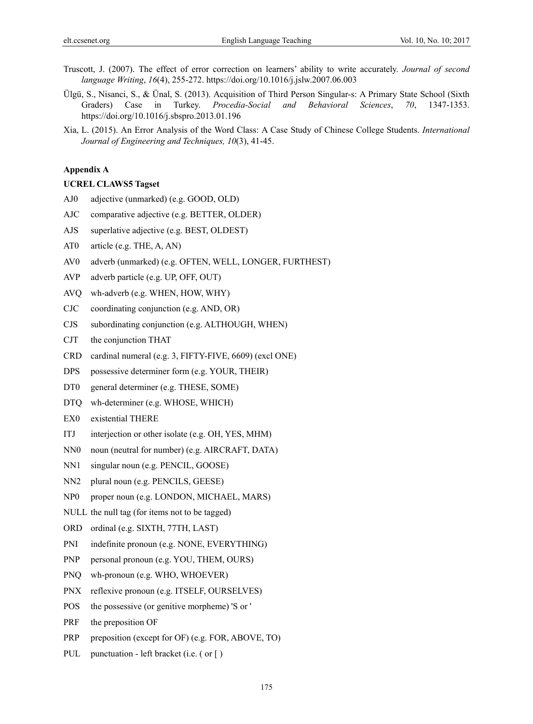- Truscott, J. (2007). The effect of error correction on learners' ability to write accurately. *Journal of second language Writing*, *16*(4), 255-272. https://doi.org/10.1016/j.jslw.2007.06.003
- Ülgü, S., Nisanci, S., & Ünal, S. (2013). Acquisition of Third Person Singular-s: A Primary State School (Sixth Graders) Case in Turkey. *Procedia-Social and Behavioral Sciences*, *70*, 1347-1353. https://doi.org/10.1016/j.sbspro.2013.01.196
- Xia, L. (2015). An Error Analysis of the Word Class: A Case Study of Chinese College Students. *International Journal of Engineering and Techniques, 10*(3), 41-45.

### **Appendix A**

### **UCREL CLAWS5 Tagset**

- AJ0 adjective (unmarked) (e.g. GOOD, OLD)
- AJC comparative adjective (e.g. BETTER, OLDER)
- AJS superlative adjective (e.g. BEST, OLDEST)
- AT0 article (e.g. THE, A, AN)
- AV0 adverb (unmarked) (e.g. OFTEN, WELL, LONGER, FURTHEST)
- AVP adverb particle (e.g. UP, OFF, OUT)
- AVQ wh-adverb (e.g. WHEN, HOW, WHY)
- CJC coordinating conjunction (e.g. AND, OR)
- CJS subordinating conjunction (e.g. ALTHOUGH, WHEN)
- CJT the conjunction THAT
- CRD cardinal numeral (e.g. 3, FIFTY-FIVE, 6609) (excl ONE)
- DPS possessive determiner form (e.g. YOUR, THEIR)
- DT0 general determiner (e.g. THESE, SOME)
- DTQ wh-determiner (e.g. WHOSE, WHICH)
- EX0 existential THERE
- ITJ interjection or other isolate (e.g. OH, YES, MHM)
- NN0 noun (neutral for number) (e.g. AIRCRAFT, DATA)
- NN1 singular noun (e.g. PENCIL, GOOSE)
- NN2 plural noun (e.g. PENCILS, GEESE)
- NP0 proper noun (e.g. LONDON, MICHAEL, MARS)
- NULL the null tag (for items not to be tagged)
- ORD ordinal (e.g. SIXTH, 77TH, LAST)
- PNI indefinite pronoun (e.g. NONE, EVERYTHING)
- PNP personal pronoun (e.g. YOU, THEM, OURS)
- PNQ wh-pronoun (e.g. WHO, WHOEVER)
- PNX reflexive pronoun (e.g. ITSELF, OURSELVES)
- POS the possessive (or genitive morpheme) 'S or '
- PRF the preposition OF
- PRP preposition (except for OF) (e.g. FOR, ABOVE, TO)
- PUL punctuation left bracket (i.e. ( or [ )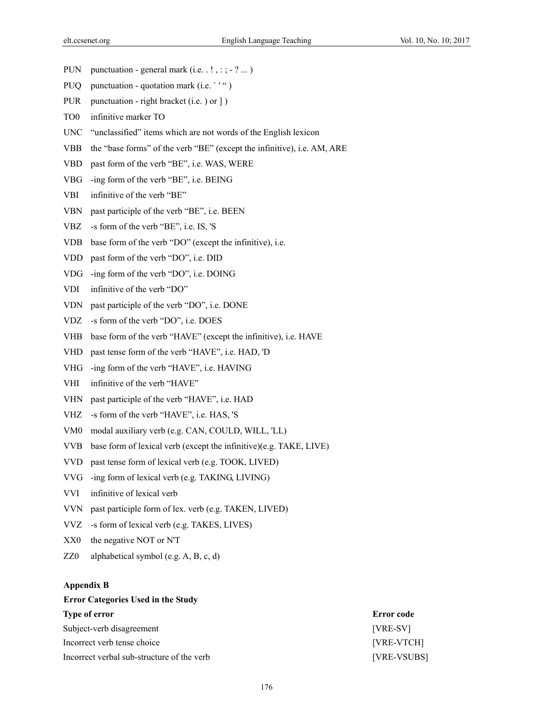- PUN punctuation general mark  $(i.e. 1, 1; -2...)$
- PUQ punctuation quotation mark (i.e. ` ' ")
- PUR punctuation right bracket (i.e. ) or ] )
- TO0 infinitive marker TO
- UNC "unclassified" items which are not words of the English lexicon
- VBB the "base forms" of the verb "BE" (except the infinitive), i.e. AM, ARE
- VBD past form of the verb "BE", i.e. WAS, WERE
- VBG -ing form of the verb "BE", i.e. BEING
- VBI infinitive of the verb "BE"
- VBN past participle of the verb "BE", i.e. BEEN
- VBZ -s form of the verb "BE", i.e. IS, 'S
- VDB base form of the verb "DO" (except the infinitive), i.e.
- VDD past form of the verb "DO", i.e. DID
- VDG -ing form of the verb "DO", i.e. DOING
- VDI infinitive of the verb "DO"
- VDN past participle of the verb "DO", i.e. DONE
- VDZ -s form of the verb "DO", i.e. DOES
- VHB base form of the verb "HAVE" (except the infinitive), i.e. HAVE
- VHD past tense form of the verb "HAVE", i.e. HAD, 'D
- VHG -ing form of the verb "HAVE", i.e. HAVING
- VHI infinitive of the verb "HAVE"
- VHN past participle of the verb "HAVE", i.e. HAD
- VHZ -s form of the verb "HAVE", i.e. HAS, 'S
- VM0 modal auxiliary verb (e.g. CAN, COULD, WILL, 'LL)
- VVB base form of lexical verb (except the infinitive)(e.g. TAKE, LIVE)
- VVD past tense form of lexical verb (e.g. TOOK, LIVED)
- VVG -ing form of lexical verb (e.g. TAKING, LIVING)
- VVI infinitive of lexical verb
- VVN past participle form of lex. verb (e.g. TAKEN, LIVED)
- VVZ -s form of lexical verb (e.g. TAKES, LIVES)
- XX0 the negative NOT or N'T
- ZZ0 alphabetical symbol (e.g. A, B, c, d)

# **Appendix B**

# **Error Categories Used in the Study**

| <b>Type of error</b>                       | Error code  |
|--------------------------------------------|-------------|
| Subject-verb disagreement                  | [VRE-SV]    |
| Incorrect verb tense choice                | [VRE-VTCH]  |
| Incorrect verbal sub-structure of the verb | [VRE-VSUBS] |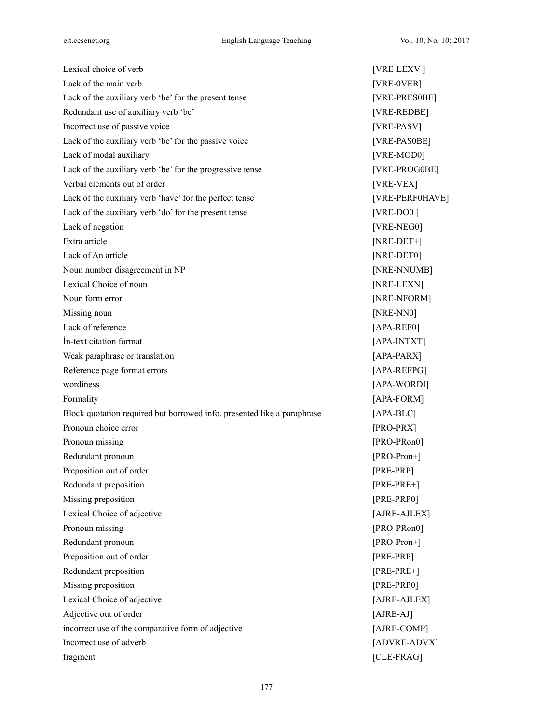| Lexical choice of verb                                                  | [VRE-LEXV]      |
|-------------------------------------------------------------------------|-----------------|
| Lack of the main verb                                                   | [VRE-0VER]      |
| Lack of the auxiliary verb 'be' for the present tense                   | [VRE-PRESOBE]   |
| Redundant use of auxiliary verb 'be'                                    | [VRE-REDBE]     |
| Incorrect use of passive voice                                          | [VRE-PASV]      |
| Lack of the auxiliary verb 'be' for the passive voice                   | [VRE-PAS0BE]    |
| Lack of modal auxiliary                                                 | [VRE-MOD0]      |
| Lack of the auxiliary verb 'be' for the progressive tense               | [VRE-PROG0BE]   |
| Verbal elements out of order                                            | [VRE-VEX]       |
| Lack of the auxiliary verb 'have' for the perfect tense                 | [VRE-PERF0HAVE] |
| Lack of the auxiliary verb 'do' for the present tense                   | [VRE-DO0]       |
| Lack of negation                                                        | [VRE-NEG0]      |
| Extra article                                                           | $[NRE-DET+]$    |
| Lack of An article                                                      | [NRE-DET0]      |
| Noun number disagreement in NP                                          | [NRE-NNUMB]     |
| Lexical Choice of noun                                                  | [NRE-LEXN]      |
| Noun form error                                                         | [NRE-NFORM]     |
| Missing noun                                                            | [NRE-NN0]       |
| Lack of reference                                                       | $[APA-REF0]$    |
| In-text citation format                                                 | [APA-INTXT]     |
| Weak paraphrase or translation                                          | [APA-PARX]      |
| Reference page format errors                                            | [APA-REFPG]     |
| wordiness                                                               | [APA-WORDI]     |
| Formality                                                               | [APA-FORM]      |
| Block quotation required but borrowed info. presented like a paraphrase | $[APA-BLC]$     |
| Pronoun choice error                                                    | [PRO-PRX]       |
| Pronoun missing                                                         | [PRO-PRon0]     |
| Redundant pronoun                                                       | $[PRO-Pron+]$   |
| Preposition out of order                                                | [PRE-PRP]       |
| Redundant preposition                                                   | $[PRE-PRE+]$    |
| Missing preposition                                                     | [PRE-PRP0]      |
| Lexical Choice of adjective                                             | [AJRE-AJLEX]    |
| Pronoun missing                                                         | [PRO-PRon0]     |
| Redundant pronoun                                                       | $[PRO-Pron+]$   |
| Preposition out of order                                                | [PRE-PRP]       |
| Redundant preposition                                                   | $[PRE-PRE+]$    |
| Missing preposition                                                     | [PRE-PRP0]      |
| Lexical Choice of adjective                                             | [AJRE-AJLEX]    |
| Adjective out of order                                                  | $[AJRE-AJ]$     |
| incorrect use of the comparative form of adjective                      | [AJRE-COMP]     |
| Incorrect use of adverb                                                 | [ADVRE-ADVX]    |
| fragment                                                                | [CLE-FRAG]      |